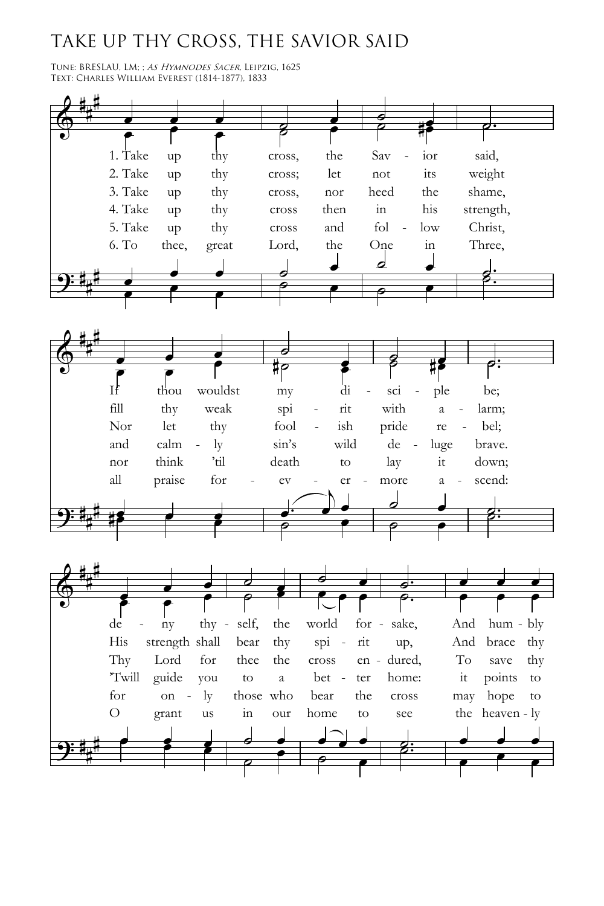## TAKE UP THY CROSS, THE SAVIOR SAID

TUNE: BRESLAU, LM; ; As HYMNODES SACER, LEIPZIG, 1625 Text: Charles William Everest (1814-1877), 1833